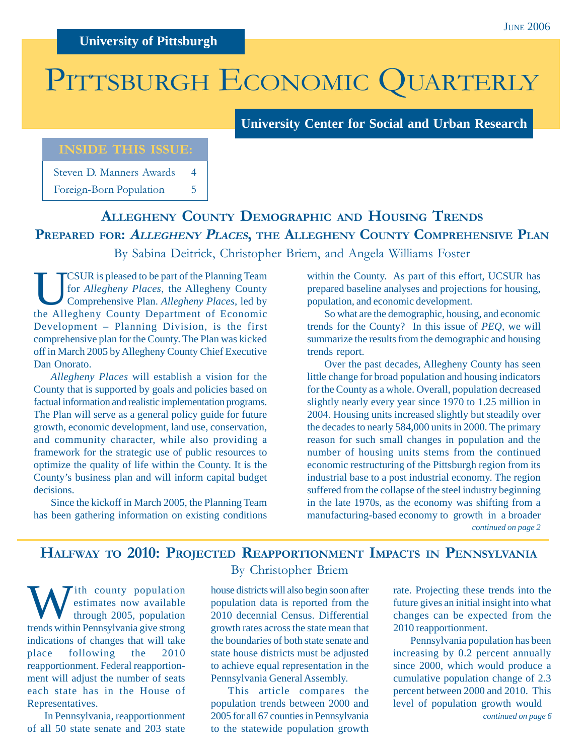# PITTSBURGH ECONOMIC QUARTERLY

**University Center for Social and Urban Research**

### **INSIDE THIS ISSUE:**

Steven D. Manners Awards 4 Foreign-Born Population 5

## **ALLEGHENY COUNTY DEMOGRAPHIC AND HOUSING TRENDS PREPARED FOR: <sup>A</sup>LLEGHENY PLACES, THE ALLEGHENY COUNTY COMPREHENSIVE PLAN**

By Sabina Deitrick, Christopher Briem, and Angela Williams Foster

UCSUR is pleased to be part of the Planning Team<br>for *Allegheny Places*, the Allegheny County<br>comprehensive Plan. *Allegheny Places*, led by for *Allegheny Places*, the Allegheny County Comprehensive Plan. *Allegheny Places*, led by the Allegheny County Department of Economic Development – Planning Division, is the first comprehensive plan for the County. The Plan was kicked off in March 2005 by Allegheny County Chief Executive Dan Onorato.

*Allegheny Places* will establish a vision for the County that is supported by goals and policies based on factual information and realistic implementation programs. The Plan will serve as a general policy guide for future growth, economic development, land use, conservation, and community character, while also providing a framework for the strategic use of public resources to optimize the quality of life within the County. It is the County's business plan and will inform capital budget decisions.

Since the kickoff in March 2005, the Planning Team has been gathering information on existing conditions

within the County. As part of this effort, UCSUR has prepared baseline analyses and projections for housing, population, and economic development.

So what are the demographic, housing, and economic trends for the County? In this issue of *PEQ*, we will summarize the results from the demographic and housing trends report.

*continued on page 2* Over the past decades, Allegheny County has seen little change for broad population and housing indicators for the County as a whole. Overall, population decreased slightly nearly every year since 1970 to 1.25 million in 2004. Housing units increased slightly but steadily over the decades to nearly 584,000 units in 2000. The primary reason for such small changes in population and the number of housing units stems from the continued economic restructuring of the Pittsburgh region from its industrial base to a post industrial economy. The region suffered from the collapse of the steel industry beginning in the late 1970s, as the economy was shifting from a manufacturing-based economy to growth in a broader

### **HALFWAY TO 2010: PROJECTED REAPPORTIONMENT IMPACTS IN PENNSYLVANIA**

W ith county population<br>
through 2005, population estimates now available trends within Pennsylvania give strong indications of changes that will take place following the 2010 reapportionment. Federal reapportionment will adjust the number of seats each state has in the House of Representatives.

In Pennsylvania, reapportionment of all 50 state senate and 203 state

### By Christopher Briem

house districts will also begin soon after population data is reported from the 2010 decennial Census. Differential growth rates across the state mean that the boundaries of both state senate and state house districts must be adjusted to achieve equal representation in the Pennsylvania General Assembly.

This article compares the population trends between 2000 and 2005 for all 67 counties in Pennsylvania to the statewide population growth

rate. Projecting these trends into the future gives an initial insight into what changes can be expected from the 2010 reapportionment.

Pennsylvania population has been increasing by 0.2 percent annually since 2000, which would produce a cumulative population change of 2.3 percent between 2000 and 2010. This level of population growth would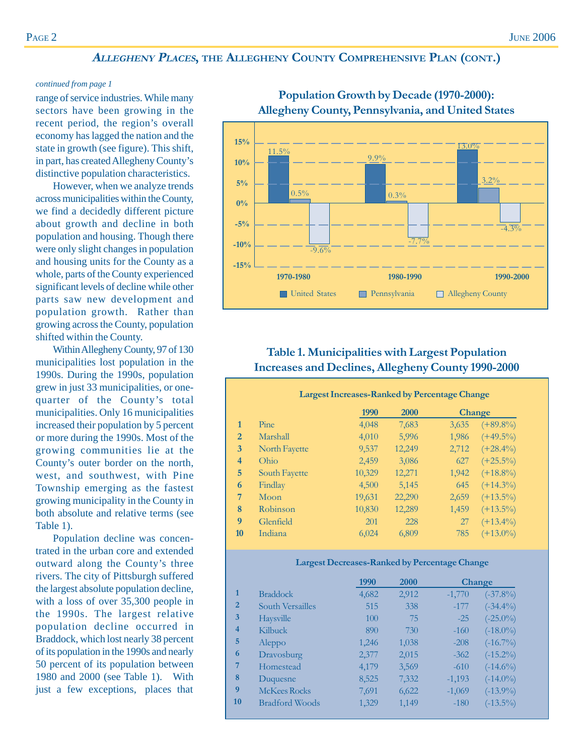### **<sup>A</sup>LLEGHENY PLACES, THE ALLEGHENY COUNTY COMPREHENSIVE PLAN (CONT.)**

#### *continued from page 1*

range of service industries. While many sectors have been growing in the recent period, the region's overall economy has lagged the nation and the state in growth (see figure). This shift, in part, has created Allegheny County's distinctive population characteristics.

However, when we analyze trends across municipalities within the County, we find a decidedly different picture about growth and decline in both population and housing. Though there were only slight changes in population and housing units for the County as a whole, parts of the County experienced significant levels of decline while other parts saw new development and population growth. Rather than growing across the County, population shifted within the County.

Within Allegheny County, 97 of 130 municipalities lost population in the 1990s. During the 1990s, population grew in just 33 municipalities, or onequarter of the County's total municipalities. Only 16 municipalities increased their population by 5 percent or more during the 1990s. Most of the growing communities lie at the County's outer border on the north, west, and southwest, with Pine Township emerging as the fastest growing municipality in the County in both absolute and relative terms (see Table 1).

Population decline was concentrated in the urban core and extended outward along the County's three rivers. The city of Pittsburgh suffered the largest absolute population decline, with a loss of over 35,300 people in the 1990s. The largest relative population decline occurred in Braddock, which lost nearly 38 percent of its population in the 1990s and nearly 50 percent of its population between 1980 and 2000 (see Table 1). With just a few exceptions, places that



### **Population Growth by Decade (1970-2000): Allegheny County, Pennsylvania, and United States**

### **Table 1. Municipalities with Largest Population Increases and Declines, Allegheny County 1990-2000**

|                  | <b>Largest Increases-Ranked by Percentage Change</b> |        |             |       |             |  |  |
|------------------|------------------------------------------------------|--------|-------------|-------|-------------|--|--|
|                  |                                                      | 1990   | <b>2000</b> |       | Change      |  |  |
| $\mathbf{1}$     | Pine                                                 | 4,048  | 7,683       | 3,635 | $(+89.8\%)$ |  |  |
| $\overline{2}$   | Marshall                                             | 4,010  | 5,996       | 1,986 | $(+49.5\%)$ |  |  |
| 3                | North Fayette                                        | 9,537  | 12,249      | 2,712 | $(+28.4\%)$ |  |  |
| 4                | Ohio                                                 | 2,459  | 3,086       | 627   | $(+25.5\%)$ |  |  |
| 5                | South Fayette                                        | 10,329 | 12,271      | 1,942 | $(+18.8\%)$ |  |  |
| 6                | Findlay                                              | 4,500  | 5,145       | 645   | $(+14.3\%)$ |  |  |
| 7                | Moon                                                 | 19,631 | 22,290      | 2,659 | $(+13.5\%)$ |  |  |
| 8                | Robinson                                             | 10,830 | 12,289      | 1,459 | $(+13.5\%)$ |  |  |
| $\boldsymbol{Q}$ | Glenfield                                            | 201    | 228         | 27    | $(+13.4\%)$ |  |  |
| 10               | Indiana                                              | 6,024  | 6,809       | 785   | $(+13.0\%)$ |  |  |
|                  |                                                      |        |             |       |             |  |  |

#### **Largest Decreases-Ranked by Percentage Change**

|                |                       | 1990  | 2000  |          | <b>Change</b> |
|----------------|-----------------------|-------|-------|----------|---------------|
| 1              | <b>Braddock</b>       | 4,682 | 2,912 | $-1,770$ | $(-37.8\%)$   |
| $\overline{2}$ | South Versailles      | 515   | 338   | $-177$   | $(-34.4\%)$   |
| $\overline{3}$ | Haysville             | 100   | 75    | $-25$    | $(-25.0\%)$   |
| $\overline{4}$ | Kilbuck               | 890   | 730   | $-160$   | $(-18.0\%)$   |
| 5              | Aleppo                | 1,246 | 1,038 | $-208$   | $(-16.7\%)$   |
| 6              | Dravosburg            | 2,377 | 2,015 | $-362$   | $(-15.2\%)$   |
| 7              | Homestead             | 4,179 | 3,569 | $-610$   | $(-14.6\%)$   |
| 8              | Duquesne              | 8,525 | 7,332 | $-1,193$ | $(-14.0\%)$   |
| 9              | <b>McKees Rocks</b>   | 7,691 | 6,622 | $-1,069$ | $(-13.9\%)$   |
| <b>10</b>      | <b>Bradford Woods</b> | 1,329 | 1,149 | $-180$   | $(-13.5\%)$   |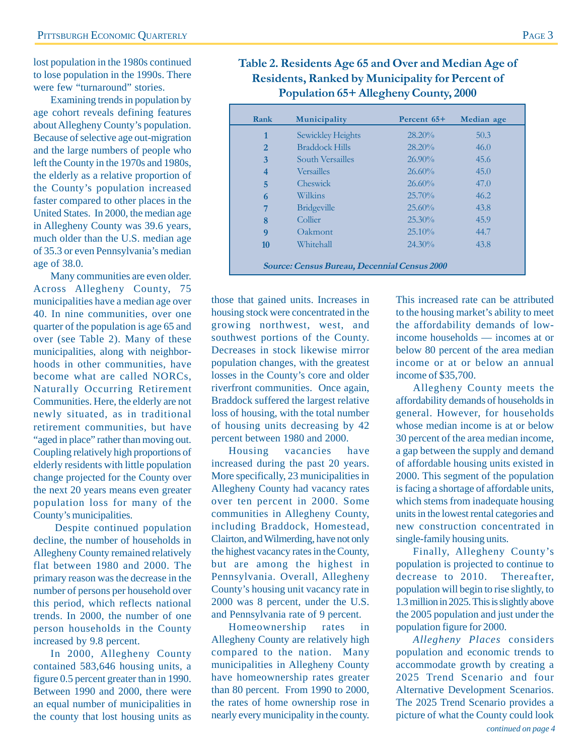lost population in the 1980s continued to lose population in the 1990s. There were few "turnaround" stories.

Examining trends in population by age cohort reveals defining features about Allegheny County's population. Because of selective age out-migration and the large numbers of people who left the County in the 1970s and 1980s, the elderly as a relative proportion of the County's population increased faster compared to other places in the United States. In 2000, the median age in Allegheny County was 39.6 years, much older than the U.S. median age of 35.3 or even Pennsylvania's median age of 38.0.

Many communities are even older. Across Allegheny County, 75 municipalities have a median age over 40. In nine communities, over one quarter of the population is age 65 and over (see Table 2). Many of these municipalities, along with neighborhoods in other communities, have become what are called NORCs, Naturally Occurring Retirement Communities. Here, the elderly are not newly situated, as in traditional retirement communities, but have "aged in place" rather than moving out. Coupling relatively high proportions of elderly residents with little population change projected for the County over the next 20 years means even greater population loss for many of the County's municipalities.

 Despite continued population decline, the number of households in Allegheny County remained relatively flat between 1980 and 2000. The primary reason was the decrease in the number of persons per household over this period, which reflects national trends. In 2000, the number of one person households in the County increased by 9.8 percent.

In 2000, Allegheny County contained 583,646 housing units, a figure 0.5 percent greater than in 1990. Between 1990 and 2000, there were an equal number of municipalities in the county that lost housing units as

**Table 2. Residents Age 65 and Over and Median Age of Residents, Ranked by Municipality for Percent of Population 65+ Allegheny County, 2000**

| Rank                                                | Municipality          | Percent 65+ | Median age |  |  |
|-----------------------------------------------------|-----------------------|-------------|------------|--|--|
| 1                                                   | Sewickley Heights     | $28.20\%$   | 50.3       |  |  |
| $\overline{2}$                                      | <b>Braddock Hills</b> | $28.20\%$   | 46.0       |  |  |
| 3                                                   | South Versailles      | $26.90\%$   | 45.6       |  |  |
| 4                                                   | <b>Versailles</b>     | $26.60\%$   | 45.0       |  |  |
| 5                                                   | Cheswick              | $26.60\%$   | 47.0       |  |  |
| 6                                                   | Wilkins               | 25.70%      | 46.2       |  |  |
| 7                                                   | <b>Bridgeville</b>    | 25.60%      | 43.8       |  |  |
| 8                                                   | Collier               | $25.30\%$   | 45.9       |  |  |
| 9                                                   | Oakmont               | $25.10\%$   | 44.7       |  |  |
| 10                                                  | Whitehall             | $24.30\%$   | 43.8       |  |  |
| <b>Source: Census Bureau, Decennial Census 2000</b> |                       |             |            |  |  |

those that gained units. Increases in housing stock were concentrated in the growing northwest, west, and southwest portions of the County. Decreases in stock likewise mirror population changes, with the greatest losses in the County's core and older riverfront communities. Once again, Braddock suffered the largest relative loss of housing, with the total number of housing units decreasing by 42 percent between 1980 and 2000.

Housing vacancies have increased during the past 20 years. More specifically, 23 municipalities in Allegheny County had vacancy rates over ten percent in 2000. Some communities in Allegheny County, including Braddock, Homestead, Clairton, and Wilmerding, have not only the highest vacancy rates in the County, but are among the highest in Pennsylvania. Overall, Allegheny County's housing unit vacancy rate in 2000 was 8 percent, under the U.S. and Pennsylvania rate of 9 percent.

Homeownership rates in Allegheny County are relatively high compared to the nation. Many municipalities in Allegheny County have homeownership rates greater than 80 percent. From 1990 to 2000, the rates of home ownership rose in nearly every municipality in the county.

This increased rate can be attributed to the housing market's ability to meet the affordability demands of lowincome households — incomes at or below 80 percent of the area median income or at or below an annual income of \$35,700.

Allegheny County meets the affordability demands of households in general. However, for households whose median income is at or below 30 percent of the area median income, a gap between the supply and demand of affordable housing units existed in 2000. This segment of the population is facing a shortage of affordable units, which stems from inadequate housing units in the lowest rental categories and new construction concentrated in single-family housing units.

Finally, Allegheny County's population is projected to continue to decrease to 2010. Thereafter, population will begin to rise slightly, to 1.3 million in 2025. This is slightly above the 2005 population and just under the population figure for 2000.

*Allegheny Places* considers population and economic trends to accommodate growth by creating a 2025 Trend Scenario and four Alternative Development Scenarios. The 2025 Trend Scenario provides a picture of what the County could look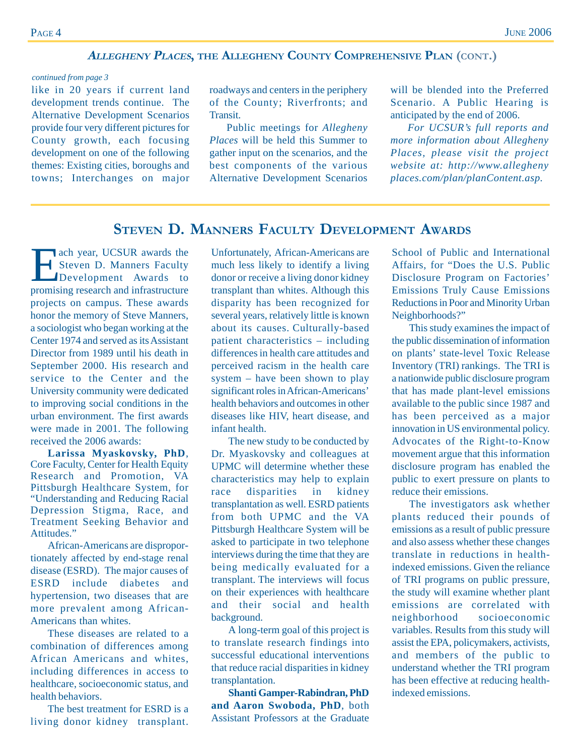### **<sup>A</sup>LLEGHENY PLACES, THE ALLEGHENY COUNTY COMPREHENSIVE PLAN (CONT.)**

#### *continued from page 3*

like in 20 years if current land development trends continue. The Alternative Development Scenarios provide four very different pictures for County growth, each focusing development on one of the following themes: Existing cities, boroughs and towns; Interchanges on major

roadways and centers in the periphery of the County; Riverfronts; and Transit.

Public meetings for *Allegheny Places* will be held this Summer to gather input on the scenarios, and the best components of the various Alternative Development Scenarios

will be blended into the Preferred Scenario. A Public Hearing is anticipated by the end of 2006.

*For UCSUR's full reports and more information about Allegheny Places, please visit the project website at: http://www.allegheny places.com/plan/planContent.asp.*

### **STEVEN D. MANNERS FACULTY DEVELOPMENT AWARDS**

Each year, UCSUR awards the<br>
Steven D. Manners Faculty<br>
Development Awards to Steven D. Manners Faculty promising research and infrastructure projects on campus. These awards honor the memory of Steve Manners, a sociologist who began working at the Center 1974 and served as its Assistant Director from 1989 until his death in September 2000. His research and service to the Center and the University community were dedicated to improving social conditions in the urban environment. The first awards were made in 2001. The following received the 2006 awards:

**Larissa Myaskovsky, PhD**, Core Faculty, Center for Health Equity Research and Promotion, VA Pittsburgh Healthcare System, for "Understanding and Reducing Racial Depression Stigma, Race, and Treatment Seeking Behavior and Attitudes."

African-Americans are disproportionately affected by end-stage renal disease (ESRD). The major causes of ESRD include diabetes and hypertension, two diseases that are more prevalent among African-Americans than whites.

These diseases are related to a combination of differences among African Americans and whites, including differences in access to healthcare, socioeconomic status, and health behaviors.

The best treatment for ESRD is a living donor kidney transplant.

Unfortunately, African-Americans are much less likely to identify a living donor or receive a living donor kidney transplant than whites. Although this disparity has been recognized for several years, relatively little is known about its causes. Culturally-based patient characteristics – including differences in health care attitudes and perceived racism in the health care system – have been shown to play significant roles in African-Americans' health behaviors and outcomes in other diseases like HIV, heart disease, and infant health.

The new study to be conducted by Dr. Myaskovsky and colleagues at UPMC will determine whether these characteristics may help to explain race disparities in kidney transplantation as well. ESRD patients from both UPMC and the VA Pittsburgh Healthcare System will be asked to participate in two telephone interviews during the time that they are being medically evaluated for a transplant. The interviews will focus on their experiences with healthcare and their social and health background.

A long-term goal of this project is to translate research findings into successful educational interventions that reduce racial disparities in kidney transplantation.

**Shanti Gamper-Rabindran, PhD and Aaron Swoboda, PhD**, both Assistant Professors at the Graduate

School of Public and International Affairs, for "Does the U.S. Public Disclosure Program on Factories' Emissions Truly Cause Emissions Reductions in Poor and Minority Urban Neighborhoods?"

This study examines the impact of the public dissemination of information on plants' state-level Toxic Release Inventory (TRI) rankings. The TRI is a nationwide public disclosure program that has made plant-level emissions available to the public since 1987 and has been perceived as a major innovation in US environmental policy. Advocates of the Right-to-Know movement argue that this information disclosure program has enabled the public to exert pressure on plants to reduce their emissions.

The investigators ask whether plants reduced their pounds of emissions as a result of public pressure and also assess whether these changes translate in reductions in healthindexed emissions. Given the reliance of TRI programs on public pressure, the study will examine whether plant emissions are correlated with neighborhood socioeconomic variables. Results from this study will assist the EPA, policymakers, activists, and members of the public to understand whether the TRI program has been effective at reducing healthindexed emissions.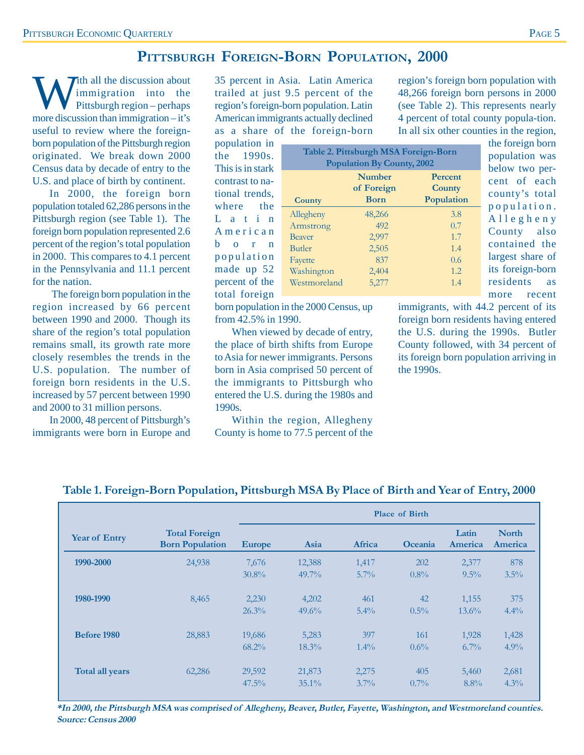### **PITTSBURGH FOREIGN-BORN POPULATION, 2000**

Ith all the discussion about immigration into the Pittsburgh region – perhaps more discussion than immigration – it's useful to review where the foreignborn population of the Pittsburgh region originated. We break down 2000 Census data by decade of entry to the U.S. and place of birth by continent.

In 2000, the foreign born population totaled 62,286 persons in the Pittsburgh region (see Table 1). The foreign born population represented 2.6 percent of the region's total population in 2000. This compares to 4.1 percent in the Pennsylvania and 11.1 percent for the nation.

The foreign born population in the region increased by 66 percent between 1990 and 2000. Though its share of the region's total population remains small, its growth rate more closely resembles the trends in the U.S. population. The number of foreign born residents in the U.S. increased by 57 percent between 1990 and 2000 to 31 million persons.

In 2000, 48 percent of Pittsburgh's immigrants were born in Europe and 35 percent in Asia. Latin America trailed at just 9.5 percent of the region's foreign-born population. Latin American immigrants actually declined as a share of the foreign-born

population in the 1990s. This is in stark contrast to national trends, where the L a t i n American b o r n population made up 52 percent of the total foreign

| Table 2. Pittsburgh MSA Foreign-Born<br><b>Population By County, 2002</b> |                                            |                                 |  |  |  |  |
|---------------------------------------------------------------------------|--------------------------------------------|---------------------------------|--|--|--|--|
| <b>County</b>                                                             | <b>Number</b><br>of Foreign<br><b>Born</b> | Percent<br>County<br>Population |  |  |  |  |
|                                                                           | 48,266                                     | 3.8                             |  |  |  |  |
| Allegheny<br>Armstrong                                                    | 492                                        | 0.7                             |  |  |  |  |
| <b>Beaver</b>                                                             | 2,997                                      | 1.7                             |  |  |  |  |
| <b>Butler</b>                                                             | 2,505                                      | 1.4                             |  |  |  |  |
| Fayette                                                                   | 837                                        | 0.6                             |  |  |  |  |
| Washington                                                                | 2,404                                      | 1.2.                            |  |  |  |  |
| Westmoreland                                                              | 5,277                                      | 1.4                             |  |  |  |  |

4 percent of total county popula-tion. In all six other counties in the region, the foreign born population was below two percent of each county's total population. Allegheny County also contained the largest share of its foreign-born residents as

more recent

born population in the 2000 Census, up from 42.5% in 1990.

When viewed by decade of entry, the place of birth shifts from Europe to Asia for newer immigrants. Persons born in Asia comprised 50 percent of the immigrants to Pittsburgh who entered the U.S. during the 1980s and 1990s.

Within the region, Allegheny County is home to 77.5 percent of the immigrants, with 44.2 percent of its foreign born residents having entered the U.S. during the 1990s. Butler County followed, with 34 percent of its foreign born population arriving in the 1990s.

region's foreign born population with 48,266 foreign born persons in 2000 (see Table 2). This represents nearly

|                        |                                                | Place of Birth |          |         |         |                  |                         |
|------------------------|------------------------------------------------|----------------|----------|---------|---------|------------------|-------------------------|
| <b>Year of Entry</b>   | <b>Total Foreign</b><br><b>Born Population</b> | <b>Europe</b>  | Asia     | Africa  | Oceania | Latin<br>America | <b>North</b><br>America |
| 1990-2000              | 24,938                                         | 7,676          | 12,388   | 1,417   | 202     | 2,377            | 878                     |
|                        |                                                | $30.8\%$       | $49.7\%$ | $5.7\%$ | $0.8\%$ | $9.5\%$          | $3.5\%$                 |
| 1980-1990              | 8,465                                          | 2,230          | 4,202    | 461     | 42      | 1,155            | 375                     |
|                        |                                                | $26.3\%$       | $49.6\%$ | $5.4\%$ | $0.5\%$ | $13.6\%$         | $4.4\%$                 |
| <b>Before 1980</b>     | 28,883                                         | 19,686         | 5,283    | 397     | 161     | 1,928            | 1,428                   |
|                        |                                                | $68.2\%$       | $18.3\%$ | $1.4\%$ | $0.6\%$ | $6.7\%$          | 4.9%                    |
| <b>Total all years</b> | 62,286                                         | 29,592         | 21,873   | 2,275   | 405     | 5,460            | 2,681                   |
|                        |                                                | $47.5\%$       | $35.1\%$ | $3.7\%$ | $0.7\%$ | $8.8\%$          | $4.3\%$                 |

### **Table 1. Foreign-Born Population, Pittsburgh MSA By Place of Birth and Year of Entry, 2000**

**\*In 2000, the Pittsburgh MSA was comprised of Allegheny, Beaver, Butler, Fayette, Washington, and Westmoreland counties. Source: Census 2000**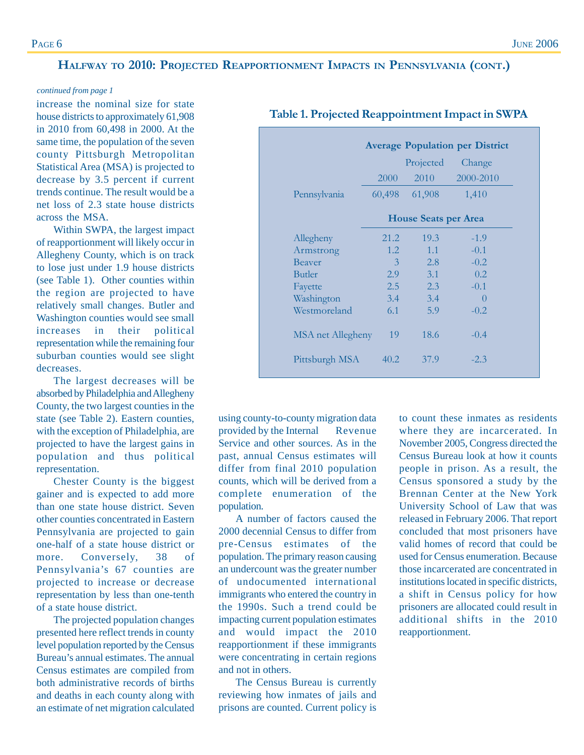### **HALFWAY TO 2010: PROJECTED REAPPORTIONMENT IMPACTS IN PENNSYLVANIA (CONT.)**

#### *continued from page 1*

increase the nominal size for state house districts to approximately 61,908 in 2010 from 60,498 in 2000. At the same time, the population of the seven county Pittsburgh Metropolitan Statistical Area (MSA) is projected to decrease by 3.5 percent if current trends continue. The result would be a net loss of 2.3 state house districts across the MSA.

Within SWPA, the largest impact of reapportionment will likely occur in Allegheny County, which is on track to lose just under 1.9 house districts (see Table 1). Other counties within the region are projected to have relatively small changes. Butler and Washington counties would see small increases in their political representation while the remaining four suburban counties would see slight decreases.

The largest decreases will be absorbed by Philadelphia and Allegheny County, the two largest counties in the state (see Table 2). Eastern counties, with the exception of Philadelphia, are projected to have the largest gains in population and thus political representation.

Chester County is the biggest gainer and is expected to add more than one state house district. Seven other counties concentrated in Eastern Pennsylvania are projected to gain one-half of a state house district or more. Conversely, 38 of Pennsylvania's 67 counties are projected to increase or decrease representation by less than one-tenth of a state house district.

The projected population changes presented here reflect trends in county level population reported by the Census Bureau's annual estimates. The annual Census estimates are compiled from both administrative records of births and deaths in each county along with an estimate of net migration calculated

|                   |                             | Projected | Change           |  |  |  |
|-------------------|-----------------------------|-----------|------------------|--|--|--|
|                   | 2000                        | 2010      | 2000-2010        |  |  |  |
| Pennsylvania      | 60,498                      | 61,908    | 1,410            |  |  |  |
|                   | <b>House Seats per Area</b> |           |                  |  |  |  |
| Allegheny         | 21.2                        | 19.3      | $-1.9$           |  |  |  |
| Armstrong         | 1.2                         | 1.1       | $-0.1$           |  |  |  |
| Beaver            | 3                           | 2.8       | $-0.2$           |  |  |  |
| <b>Butler</b>     | 2.9                         | 3.1       | 0.2              |  |  |  |
| Fayette           | 2.5                         | 2.3       | $-0.1$           |  |  |  |
| Washington        | $3.4^{\circ}$               | 3.4       | $\left( \right)$ |  |  |  |
| Westmoreland      | 6.1                         | 5.9       | $-0.2$           |  |  |  |
| MSA net Allegheny | 19                          | 18.6      | $-0.4$           |  |  |  |
| Pittsburgh MSA    | 40.2                        | 37.9      | $-2.3$           |  |  |  |

### **Table 1. Projected Reappointment Impact in SWPA**

using county-to-county migration data provided by the Internal Revenue Service and other sources. As in the past, annual Census estimates will differ from final 2010 population counts, which will be derived from a complete enumeration of the population.

A number of factors caused the 2000 decennial Census to differ from pre-Census estimates of the population. The primary reason causing an undercount was the greater number of undocumented international immigrants who entered the country in the 1990s. Such a trend could be impacting current population estimates and would impact the 2010 reapportionment if these immigrants were concentrating in certain regions and not in others.

The Census Bureau is currently reviewing how inmates of jails and prisons are counted. Current policy is

to count these inmates as residents where they are incarcerated. In November 2005, Congress directed the Census Bureau look at how it counts people in prison. As a result, the Census sponsored a study by the Brennan Center at the New York University School of Law that was released in February 2006. That report concluded that most prisoners have valid homes of record that could be used for Census enumeration. Because those incarcerated are concentrated in institutions located in specific districts, a shift in Census policy for how prisoners are allocated could result in additional shifts in the 2010 reapportionment.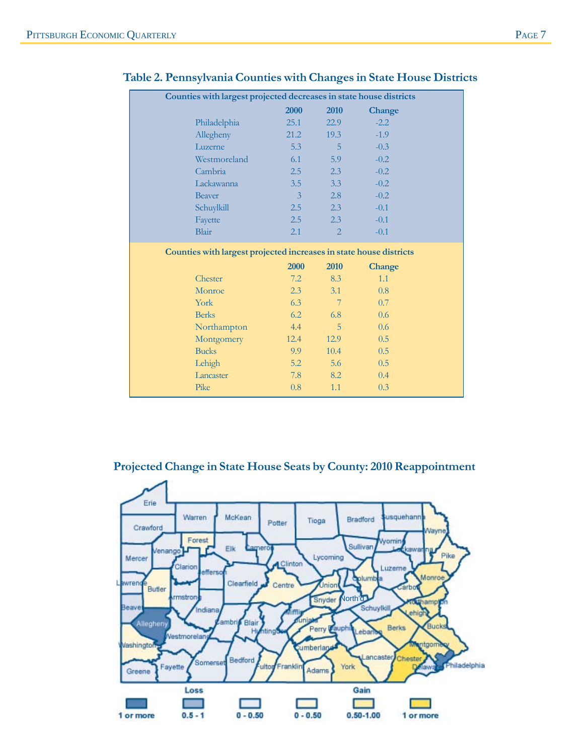| Counties with largest projected decreases in state house districts |  |                |                 |               |  |  |
|--------------------------------------------------------------------|--|----------------|-----------------|---------------|--|--|
|                                                                    |  | 2000           | 2010            | Change        |  |  |
| Philadelphia                                                       |  | 25.1           | 22.9            | $-2.2$        |  |  |
| Allegheny                                                          |  | 21.2           | 19.3            | $-1.9$        |  |  |
| Luzerne                                                            |  | 5.3            | 5               | $-0.3$        |  |  |
| Westmoreland                                                       |  | 6.1            | 5.9             | $-0.2$        |  |  |
| Cambria                                                            |  | 2.5            | 2.3             | $-0.2$        |  |  |
| Lackawanna                                                         |  | 3.5            | 3.3             | $-0.2$        |  |  |
| <b>Beaver</b>                                                      |  | $\overline{3}$ | 2.8             | $-0.2$        |  |  |
| Schuylkill                                                         |  | 2.5            | 2.3             | $-0.1$        |  |  |
| Fayette                                                            |  | 2.5            | 2.3             | $-0.1$        |  |  |
| <b>Blair</b>                                                       |  | 2.1            | 2               | $-0.1$        |  |  |
| Counties with largest projected increases in state house districts |  |                |                 |               |  |  |
|                                                                    |  | 2000           | 2010            | <b>Change</b> |  |  |
| Chester                                                            |  | 7.2            | 8.3             | 1.1           |  |  |
| Monroe                                                             |  | 2.3            | 3.1             | 0.8           |  |  |
| York                                                               |  | 6.3            | $7\phantom{.0}$ | 0.7           |  |  |
| <b>Berks</b>                                                       |  | 6.2            | 6.8             | 0.6           |  |  |
| Northampton                                                        |  | 4.4            | 5               | 0.6           |  |  |
|                                                                    |  |                |                 |               |  |  |
| Montgomery                                                         |  | 12.4           | 12.9            | 0.5           |  |  |
| <b>Bucks</b>                                                       |  | 9.9            | 10.4            | 0.5           |  |  |
| Lehigh                                                             |  | 5.2            | 5.6             | 0.5           |  |  |
| Lancaster                                                          |  | 7.8            | 8.2             | 0.4           |  |  |

### **Table 2. Pennsylvania Counties with Changes in State House Districts**

### **Projected Change in State House Seats by County: 2010 Reappointment**